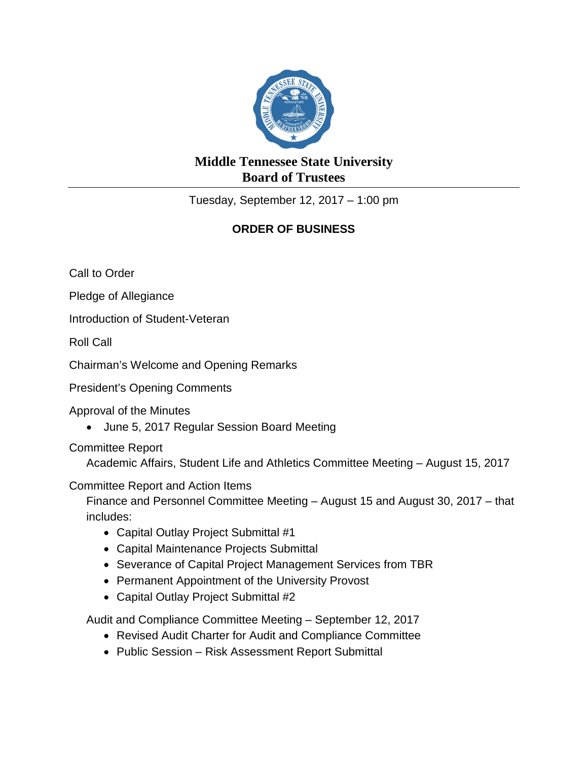

## **Middle Tennessee State University Board of Trustees**

Tuesday, September 12, 2017 – 1:00 pm

## **ORDER OF BUSINESS**

Call to Order

Pledge of Allegiance

Introduction of Student-Veteran

Roll Call

Chairman's Welcome and Opening Remarks

President's Opening Comments

Approval of the Minutes

• June 5, 2017 Regular Session Board Meeting

Committee Report

Academic Affairs, Student Life and Athletics Committee Meeting – August 15, 2017

Committee Report and Action Items

Finance and Personnel Committee Meeting – August 15 and August 30, 2017 – that includes:

- Capital Outlay Project Submittal #1
- Capital Maintenance Projects Submittal
- Severance of Capital Project Management Services from TBR
- Permanent Appointment of the University Provost
- Capital Outlay Project Submittal #2

Audit and Compliance Committee Meeting – September 12, 2017

- Revised Audit Charter for Audit and Compliance Committee
- Public Session Risk Assessment Report Submittal